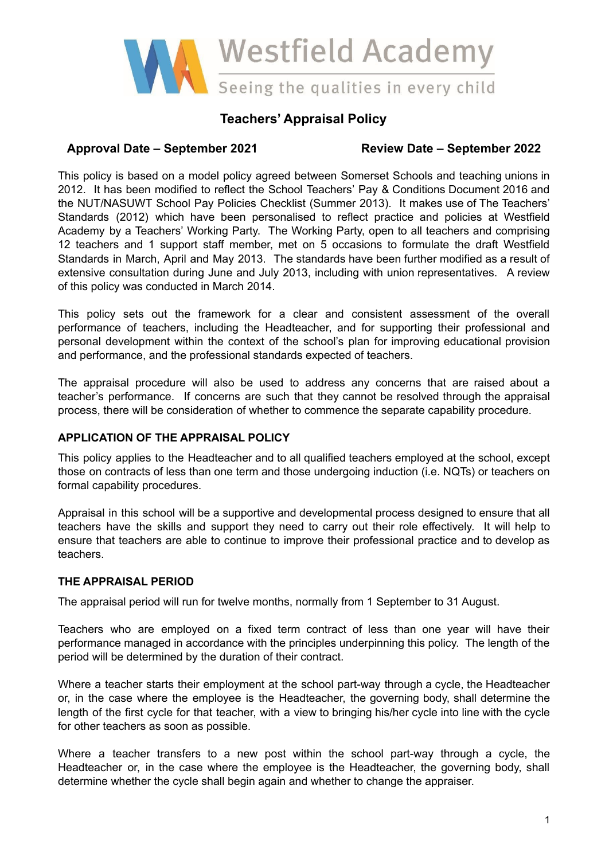

# **Teachers' Appraisal Policy**

# **Approval Date – September 2021 Review Date – September 2022**

This policy is based on a model policy agreed between Somerset Schools and teaching unions in 2012. It has been modified to reflect the School Teachers' Pay & Conditions Document 2016 and the NUT/NASUWT School Pay Policies Checklist (Summer 2013). It makes use of The Teachers' Standards (2012) which have been personalised to reflect practice and policies at Westfield Academy by a Teachers' Working Party. The Working Party, open to all teachers and comprising 12 teachers and 1 support staff member, met on 5 occasions to formulate the draft Westfield Standards in March, April and May 2013. The standards have been further modified as a result of extensive consultation during June and July 2013, including with union representatives. A review of this policy was conducted in March 2014.

This policy sets out the framework for a clear and consistent assessment of the overall performance of teachers, including the Headteacher, and for supporting their professional and personal development within the context of the school's plan for improving educational provision and performance, and the professional standards expected of teachers.

The appraisal procedure will also be used to address any concerns that are raised about a teacher's performance. If concerns are such that they cannot be resolved through the appraisal process, there will be consideration of whether to commence the separate capability procedure.

### **APPLICATION OF THE APPRAISAL POLICY**

This policy applies to the Headteacher and to all qualified teachers employed at the school, except those on contracts of less than one term and those undergoing induction (i.e. NQTs) or teachers on formal capability procedures.

Appraisal in this school will be a supportive and developmental process designed to ensure that all teachers have the skills and support they need to carry out their role effectively. It will help to ensure that teachers are able to continue to improve their professional practice and to develop as teachers.

#### **THE APPRAISAL PERIOD**

The appraisal period will run for twelve months, normally from 1 September to 31 August.

Teachers who are employed on a fixed term contract of less than one year will have their performance managed in accordance with the principles underpinning this policy. The length of the period will be determined by the duration of their contract.

Where a teacher starts their employment at the school part-way through a cycle, the Headteacher or, in the case where the employee is the Headteacher, the governing body, shall determine the length of the first cycle for that teacher, with a view to bringing his/her cycle into line with the cycle for other teachers as soon as possible.

Where a teacher transfers to a new post within the school part-way through a cycle, the Headteacher or, in the case where the employee is the Headteacher, the governing body, shall determine whether the cycle shall begin again and whether to change the appraiser.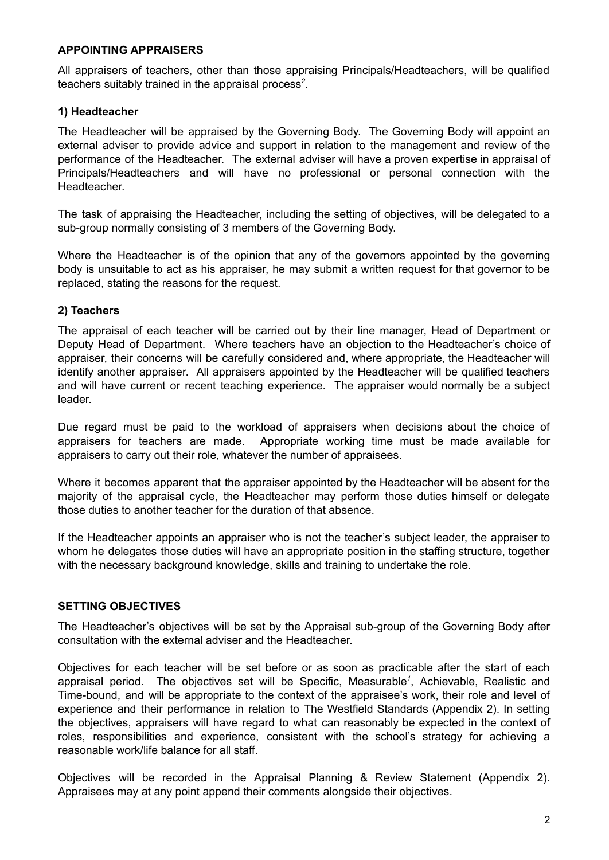#### **APPOINTING APPRAISERS**

All appraisers of teachers, other than those appraising Principals/Headteachers, will be qualified teachers suitably trained in the appraisal process *2* .

#### **1) Headteacher**

The Headteacher will be appraised by the Governing Body. The Governing Body will appoint an external adviser to provide advice and support in relation to the management and review of the performance of the Headteacher. The external adviser will have a proven expertise in appraisal of Principals/Headteachers and will have no professional or personal connection with the Headteacher.

The task of appraising the Headteacher, including the setting of objectives, will be delegated to a sub-group normally consisting of 3 members of the Governing Body.

Where the Headteacher is of the opinion that any of the governors appointed by the governing body is unsuitable to act as his appraiser, he may submit a written request for that governor to be replaced, stating the reasons for the request.

#### **2) Teachers**

The appraisal of each teacher will be carried out by their line manager, Head of Department or Deputy Head of Department. Where teachers have an objection to the Headteacher's choice of appraiser, their concerns will be carefully considered and, where appropriate, the Headteacher will identify another appraiser. All appraisers appointed by the Headteacher will be qualified teachers and will have current or recent teaching experience. The appraiser would normally be a subject leader.

Due regard must be paid to the workload of appraisers when decisions about the choice of appraisers for teachers are made. Appropriate working time must be made available for appraisers to carry out their role, whatever the number of appraisees.

Where it becomes apparent that the appraiser appointed by the Headteacher will be absent for the majority of the appraisal cycle, the Headteacher may perform those duties himself or delegate those duties to another teacher for the duration of that absence.

If the Headteacher appoints an appraiser who is not the teacher's subject leader, the appraiser to whom he delegates those duties will have an appropriate position in the staffing structure, together with the necessary background knowledge, skills and training to undertake the role.

#### **SETTING OBJECTIVES**

The Headteacher's objectives will be set by the Appraisal sub-group of the Governing Body after consultation with the external adviser and the Headteacher.

Objectives for each teacher will be set before or as soon as practicable after the start of each appraisal period. The objectives set will be Specific, Measurable *1* , Achievable, Realistic and Time-bound, and will be appropriate to the context of the appraisee's work, their role and level of experience and their performance in relation to The Westfield Standards (Appendix 2). In setting the objectives, appraisers will have regard to what can reasonably be expected in the context of roles, responsibilities and experience, consistent with the school's strategy for achieving a reasonable work/life balance for all staff.

Objectives will be recorded in the Appraisal Planning & Review Statement (Appendix 2). Appraisees may at any point append their comments alongside their objectives.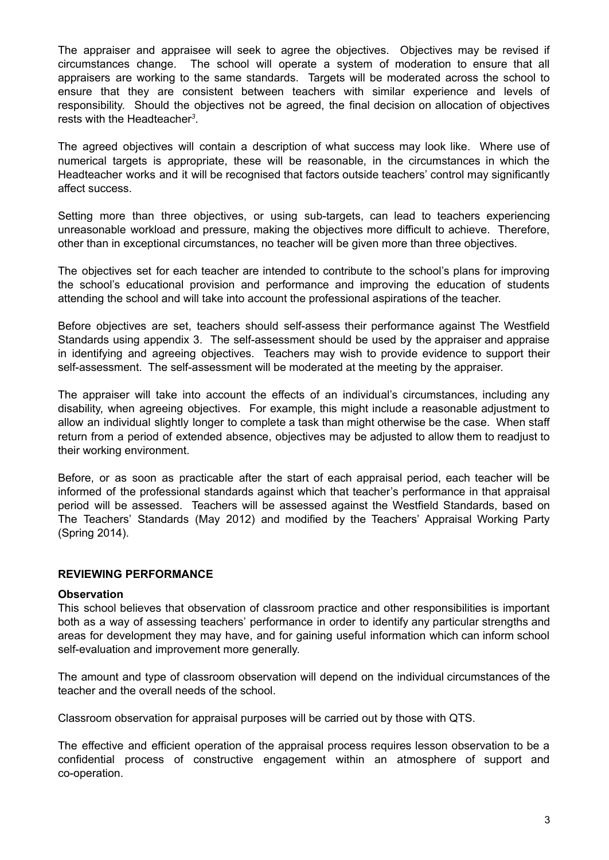The appraiser and appraisee will seek to agree the objectives. Objectives may be revised if circumstances change. The school will operate a system of moderation to ensure that all appraisers are working to the same standards. Targets will be moderated across the school to ensure that they are consistent between teachers with similar experience and levels of responsibility. Should the objectives not be agreed, the final decision on allocation of objectives rests with the Headteacher *3* .

The agreed objectives will contain a description of what success may look like. Where use of numerical targets is appropriate, these will be reasonable, in the circumstances in which the Headteacher works and it will be recognised that factors outside teachers' control may significantly affect success.

Setting more than three objectives, or using sub-targets, can lead to teachers experiencing unreasonable workload and pressure, making the objectives more difficult to achieve. Therefore, other than in exceptional circumstances, no teacher will be given more than three objectives.

The objectives set for each teacher are intended to contribute to the school's plans for improving the school's educational provision and performance and improving the education of students attending the school and will take into account the professional aspirations of the teacher.

Before objectives are set, teachers should self-assess their performance against The Westfield Standards using appendix 3. The self-assessment should be used by the appraiser and appraise in identifying and agreeing objectives. Teachers may wish to provide evidence to support their self-assessment. The self-assessment will be moderated at the meeting by the appraiser.

The appraiser will take into account the effects of an individual's circumstances, including any disability, when agreeing objectives. For example, this might include a reasonable adjustment to allow an individual slightly longer to complete a task than might otherwise be the case. When staff return from a period of extended absence, objectives may be adjusted to allow them to readjust to their working environment.

Before, or as soon as practicable after the start of each appraisal period, each teacher will be informed of the professional standards against which that teacher's performance in that appraisal period will be assessed. Teachers will be assessed against the Westfield Standards, based on The Teachers' Standards (May 2012) and modified by the Teachers' Appraisal Working Party (Spring 2014).

#### **REVIEWING PERFORMANCE**

#### **Observation**

This school believes that observation of classroom practice and other responsibilities is important both as a way of assessing teachers' performance in order to identify any particular strengths and areas for development they may have, and for gaining useful information which can inform school self-evaluation and improvement more generally.

The amount and type of classroom observation will depend on the individual circumstances of the teacher and the overall needs of the school.

Classroom observation for appraisal purposes will be carried out by those with QTS.

The effective and efficient operation of the appraisal process requires lesson observation to be a confidential process of constructive engagement within an atmosphere of support and co-operation.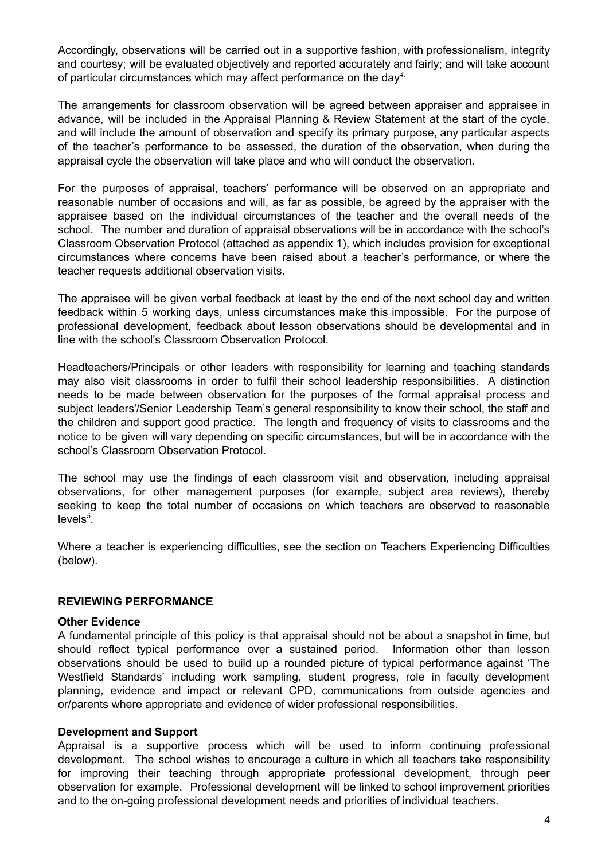Accordingly, observations will be carried out in a supportive fashion, with professionalism, integrity and courtesy; will be evaluated objectively and reported accurately and fairly; and will take account of particular circumstances which may affect performance on the day *4*.

The arrangements for classroom observation will be agreed between appraiser and appraisee in advance, will be included in the Appraisal Planning & Review Statement at the start of the cycle, and will include the amount of observation and specify its primary purpose, any particular aspects of the teacher's performance to be assessed, the duration of the observation, when during the appraisal cycle the observation will take place and who will conduct the observation.

For the purposes of appraisal, teachers' performance will be observed on an appropriate and reasonable number of occasions and will, as far as possible, be agreed by the appraiser with the appraisee based on the individual circumstances of the teacher and the overall needs of the school. The number and duration of appraisal observations will be in accordance with the school's Classroom Observation Protocol (attached as appendix 1), which includes provision for exceptional circumstances where concerns have been raised about a teacher's performance, or where the teacher requests additional observation visits.

The appraisee will be given verbal feedback at least by the end of the next school day and written feedback within 5 working days, unless circumstances make this impossible. For the purpose of professional development, feedback about lesson observations should be developmental and in line with the school's Classroom Observation Protocol.

Headteachers/Principals or other leaders with responsibility for learning and teaching standards may also visit classrooms in order to fulfil their school leadership responsibilities. A distinction needs to be made between observation for the purposes of the formal appraisal process and subject leaders'/Senior Leadership Team's general responsibility to know their school, the staff and the children and support good practice. The length and frequency of visits to classrooms and the notice to be given will vary depending on specific circumstances, but will be in accordance with the school's Classroom Observation Protocol.

The school may use the findings of each classroom visit and observation, including appraisal observations, for other management purposes (for example, subject area reviews), thereby seeking to keep the total number of occasions on which teachers are observed to reasonable levels *5* .

Where a teacher is experiencing difficulties, see the section on Teachers Experiencing Difficulties (below).

#### **REVIEWING PERFORMANCE**

#### **Other Evidence**

A fundamental principle of this policy is that appraisal should not be about a snapshot in time, but should reflect typical performance over a sustained period. Information other than lesson observations should be used to build up a rounded picture of typical performance against 'The Westfield Standards' including work sampling, student progress, role in faculty development planning, evidence and impact or relevant CPD, communications from outside agencies and or/parents where appropriate and evidence of wider professional responsibilities.

#### **Development and Support**

Appraisal is a supportive process which will be used to inform continuing professional development. The school wishes to encourage a culture in which all teachers take responsibility for improving their teaching through appropriate professional development, through peer observation for example. Professional development will be linked to school improvement priorities and to the on-going professional development needs and priorities of individual teachers.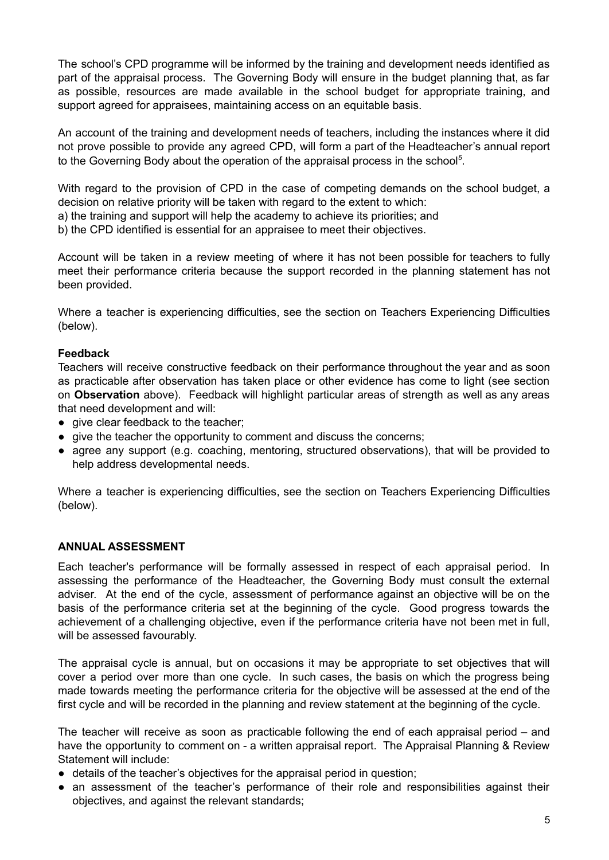The school's CPD programme will be informed by the training and development needs identified as part of the appraisal process. The Governing Body will ensure in the budget planning that, as far as possible, resources are made available in the school budget for appropriate training, and support agreed for appraisees, maintaining access on an equitable basis.

An account of the training and development needs of teachers, including the instances where it did not prove possible to provide any agreed CPD, will form a part of the Headteacher's annual report to the Governing Body about the operation of the appraisal process in the school *5* .

With regard to the provision of CPD in the case of competing demands on the school budget, a decision on relative priority will be taken with regard to the extent to which:

a) the training and support will help the academy to achieve its priorities; and

b) the CPD identified is essential for an appraisee to meet their objectives.

Account will be taken in a review meeting of where it has not been possible for teachers to fully meet their performance criteria because the support recorded in the planning statement has not been provided.

Where a teacher is experiencing difficulties, see the section on Teachers Experiencing Difficulties (below).

#### **Feedback**

Teachers will receive constructive feedback on their performance throughout the year and as soon as practicable after observation has taken place or other evidence has come to light (see section on **Observation** above). Feedback will highlight particular areas of strength as well as any areas that need development and will:

- give clear feedback to the teacher;
- give the teacher the opportunity to comment and discuss the concerns;
- agree any support (e.g. coaching, mentoring, structured observations), that will be provided to help address developmental needs.

Where a teacher is experiencing difficulties, see the section on Teachers Experiencing Difficulties (below).

### **ANNUAL ASSESSMENT**

Each teacher's performance will be formally assessed in respect of each appraisal period. In assessing the performance of the Headteacher, the Governing Body must consult the external adviser. At the end of the cycle, assessment of performance against an objective will be on the basis of the performance criteria set at the beginning of the cycle. Good progress towards the achievement of a challenging objective, even if the performance criteria have not been met in full, will be assessed favourably.

The appraisal cycle is annual, but on occasions it may be appropriate to set objectives that will cover a period over more than one cycle. In such cases, the basis on which the progress being made towards meeting the performance criteria for the objective will be assessed at the end of the first cycle and will be recorded in the planning and review statement at the beginning of the cycle.

The teacher will receive as soon as practicable following the end of each appraisal period – and have the opportunity to comment on - a written appraisal report. The Appraisal Planning & Review Statement will include:

- details of the teacher's objectives for the appraisal period in question;
- an assessment of the teacher's performance of their role and responsibilities against their objectives, and against the relevant standards;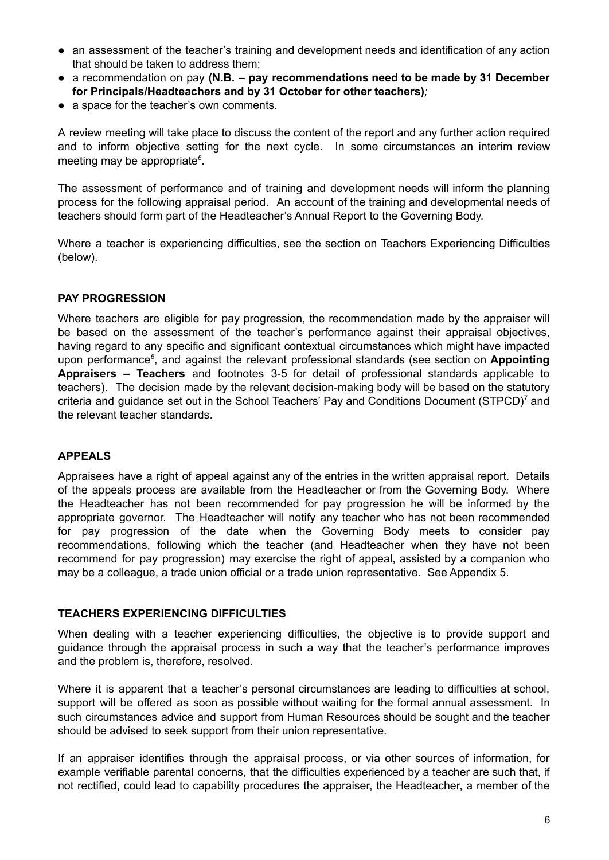- an assessment of the teacher's training and development needs and identification of any action that should be taken to address them;
- a recommendation on pay **(N.B. – pay recommendations need to be made by 31 December for Principals/Headteachers and by 31 October for other teachers)***;*
- a space for the teacher's own comments.

A review meeting will take place to discuss the content of the report and any further action required and to inform objective setting for the next cycle. In some circumstances an interim review meeting may be appropriate *6* .

The assessment of performance and of training and development needs will inform the planning process for the following appraisal period. An account of the training and developmental needs of teachers should form part of the Headteacher's Annual Report to the Governing Body.

Where a teacher is experiencing difficulties, see the section on Teachers Experiencing Difficulties (below).

### **PAY PROGRESSION**

Where teachers are eligible for pay progression, the recommendation made by the appraiser will be based on the assessment of the teacher's performance against their appraisal objectives, having regard to any specific and significant contextual circumstances which might have impacted upon performance *6* , and against the relevant professional standards (see section on **Appointing Appraisers – Teachers** and footnotes 3-5 for detail of professional standards applicable to teachers). The decision made by the relevant decision-making body will be based on the statutory criteria and guidance set out in the School Teachers' Pay and Conditions Document (STPCD)<sup>7</sup> and the relevant teacher standards.

#### **APPEALS**

Appraisees have a right of appeal against any of the entries in the written appraisal report. Details of the appeals process are available from the Headteacher or from the Governing Body. Where the Headteacher has not been recommended for pay progression he will be informed by the appropriate governor. The Headteacher will notify any teacher who has not been recommended for pay progression of the date when the Governing Body meets to consider pay recommendations, following which the teacher (and Headteacher when they have not been recommend for pay progression) may exercise the right of appeal, assisted by a companion who may be a colleague, a trade union official or a trade union representative. See Appendix 5.

#### **TEACHERS EXPERIENCING DIFFICULTIES**

When dealing with a teacher experiencing difficulties, the objective is to provide support and guidance through the appraisal process in such a way that the teacher's performance improves and the problem is, therefore, resolved.

Where it is apparent that a teacher's personal circumstances are leading to difficulties at school, support will be offered as soon as possible without waiting for the formal annual assessment. In such circumstances advice and support from Human Resources should be sought and the teacher should be advised to seek support from their union representative.

If an appraiser identifies through the appraisal process, or via other sources of information, for example verifiable parental concerns, that the difficulties experienced by a teacher are such that, if not rectified, could lead to capability procedures the appraiser, the Headteacher, a member of the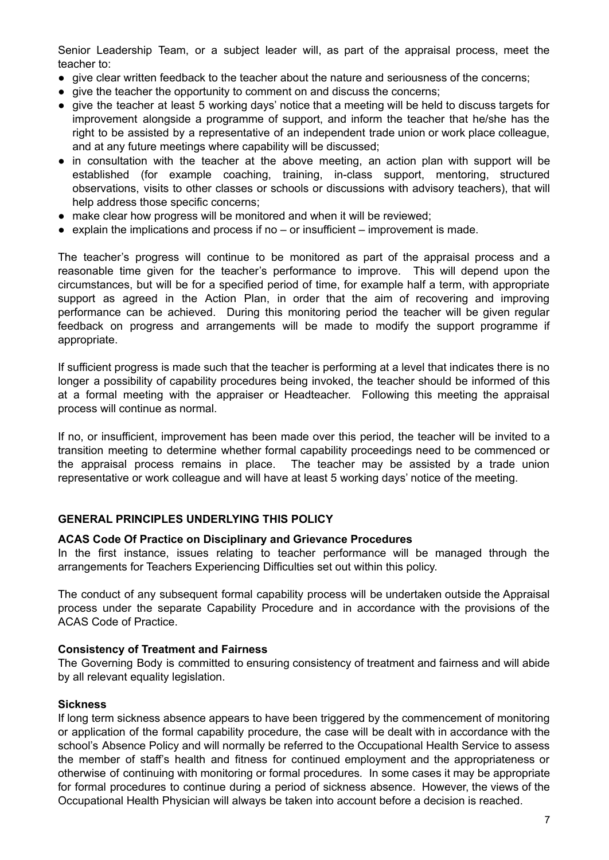Senior Leadership Team, or a subject leader will, as part of the appraisal process, meet the teacher to:

- give clear written feedback to the teacher about the nature and seriousness of the concerns;
- give the teacher the opportunity to comment on and discuss the concerns;
- give the teacher at least 5 working days' notice that a meeting will be held to discuss targets for improvement alongside a programme of support, and inform the teacher that he/she has the right to be assisted by a representative of an independent trade union or work place colleague, and at any future meetings where capability will be discussed;
- in consultation with the teacher at the above meeting, an action plan with support will be established (for example coaching, training, in-class support, mentoring, structured observations, visits to other classes or schools or discussions with advisory teachers), that will help address those specific concerns;
- make clear how progress will be monitored and when it will be reviewed;
- $\bullet$  explain the implications and process if no or insufficient improvement is made.

The teacher's progress will continue to be monitored as part of the appraisal process and a reasonable time given for the teacher's performance to improve. This will depend upon the circumstances, but will be for a specified period of time, for example half a term, with appropriate support as agreed in the Action Plan, in order that the aim of recovering and improving performance can be achieved. During this monitoring period the teacher will be given regular feedback on progress and arrangements will be made to modify the support programme if appropriate.

If sufficient progress is made such that the teacher is performing at a level that indicates there is no longer a possibility of capability procedures being invoked, the teacher should be informed of this at a formal meeting with the appraiser or Headteacher. Following this meeting the appraisal process will continue as normal.

If no, or insufficient, improvement has been made over this period, the teacher will be invited to a transition meeting to determine whether formal capability proceedings need to be commenced or the appraisal process remains in place. The teacher may be assisted by a trade union representative or work colleague and will have at least 5 working days' notice of the meeting.

#### **GENERAL PRINCIPLES UNDERLYING THIS POLICY**

#### **ACAS Code Of Practice on Disciplinary and Grievance Procedures**

In the first instance, issues relating to teacher performance will be managed through the arrangements for Teachers Experiencing Difficulties set out within this policy.

The conduct of any subsequent formal capability process will be undertaken outside the Appraisal process under the separate Capability Procedure and in accordance with the provisions of the ACAS Code of Practice.

#### **Consistency of Treatment and Fairness**

The Governing Body is committed to ensuring consistency of treatment and fairness and will abide by all relevant equality legislation.

#### **Sickness**

If long term sickness absence appears to have been triggered by the commencement of monitoring or application of the formal capability procedure, the case will be dealt with in accordance with the school's Absence Policy and will normally be referred to the Occupational Health Service to assess the member of staff's health and fitness for continued employment and the appropriateness or otherwise of continuing with monitoring or formal procedures*.* In some cases it may be appropriate for formal procedures to continue during a period of sickness absence. However, the views of the Occupational Health Physician will always be taken into account before a decision is reached.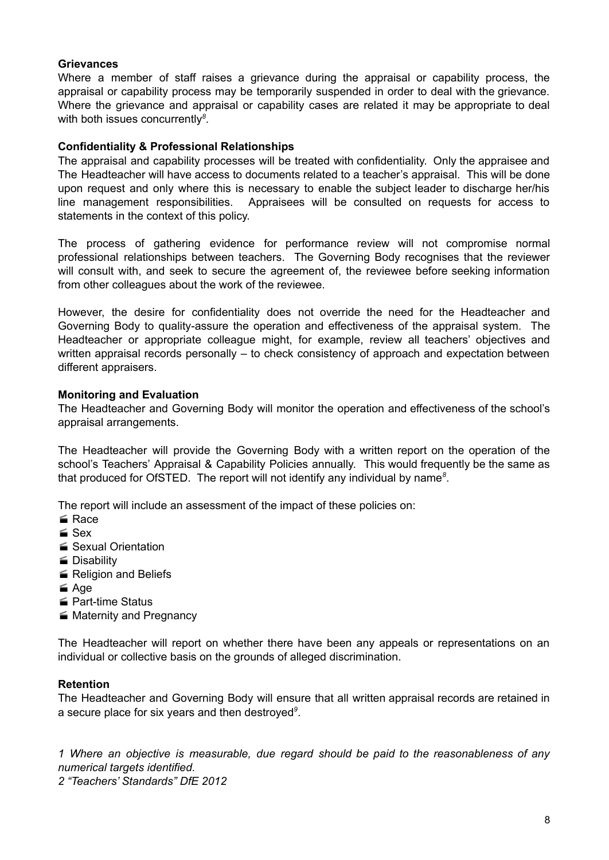#### **Grievances**

Where a member of staff raises a grievance during the appraisal or capability process, the appraisal or capability process may be temporarily suspended in order to deal with the grievance. Where the grievance and appraisal or capability cases are related it may be appropriate to deal with both issues concurrently *8* .

#### **Confidentiality & Professional Relationships**

The appraisal and capability processes will be treated with confidentiality. Only the appraisee and The Headteacher will have access to documents related to a teacher's appraisal. This will be done upon request and only where this is necessary to enable the subject leader to discharge her/his line management responsibilities. Appraisees will be consulted on requests for access to statements in the context of this policy.

The process of gathering evidence for performance review will not compromise normal professional relationships between teachers. The Governing Body recognises that the reviewer will consult with, and seek to secure the agreement of, the reviewee before seeking information from other colleagues about the work of the reviewee.

However, the desire for confidentiality does not override the need for the Headteacher and Governing Body to quality-assure the operation and effectiveness of the appraisal system. The Headteacher or appropriate colleague might, for example, review all teachers' objectives and written appraisal records personally – to check consistency of approach and expectation between different appraisers.

#### **Monitoring and Evaluation**

The Headteacher and Governing Body will monitor the operation and effectiveness of the school's appraisal arrangements.

The Headteacher will provide the Governing Body with a written report on the operation of the school's Teachers' Appraisal & Capability Policies annually. This would frequently be the same as that produced for OfSTED. The report will not identify any individual by name *8* .

The report will include an assessment of the impact of these policies on:

- **■** Race
- $Sex$
- Sexual Orientation
- Disability
- Religion and Beliefs
- $\leq$  Age
- **Part-time Status**
- **Maternity and Pregnancy**

The Headteacher will report on whether there have been any appeals or representations on an individual or collective basis on the grounds of alleged discrimination.

#### **Retention**

The Headteacher and Governing Body will ensure that all written appraisal records are retained in a secure place for six years and then destroyed *9* .

*1 Where an objective is measurable, due regard should be paid to the reasonableness of any numerical targets identified.*

*2 "Teachers' Standards" DfE 2012*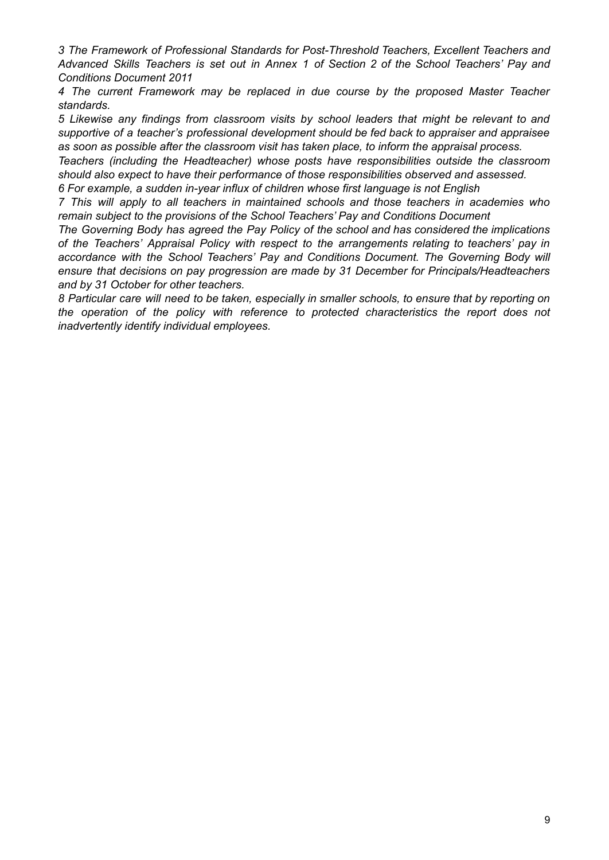*3 The Framework of Professional Standards for Post-Threshold Teachers, Excellent Teachers and Advanced Skills Teachers is set out in Annex 1 of Section 2 of the School Teachers' Pay and Conditions Document 2011*

*4 The current Framework may be replaced in due course by the proposed Master Teacher standards.*

*5 Likewise any findings from classroom visits by school leaders that might be relevant to and supportive of a teacher's professional development should be fed back to appraiser and appraisee as soon as possible after the classroom visit has taken place, to inform the appraisal process.*

*Teachers (including the Headteacher) whose posts have responsibilities outside the classroom should also expect to have their performance of those responsibilities observed and assessed.*

*6 For example, a sudden in-year influx of children whose first language is not English*

*7 This will apply to all teachers in maintained schools and those teachers in academies who remain subject to the provisions of the School Teachers' Pay and Conditions Document*

*The Governing Body has agreed the Pay Policy of the school and has considered the implications of the Teachers' Appraisal Policy with respect to the arrangements relating to teachers' pay in accordance with the School Teachers' Pay and Conditions Document. The Governing Body will ensure that decisions on pay progression are made by 31 December for Principals/Headteachers and by 31 October for other teachers.*

8 Particular care will need to be taken, especially in smaller schools, to ensure that by reporting on *the operation of the policy with reference to protected characteristics the report does not inadvertently identify individual employees.*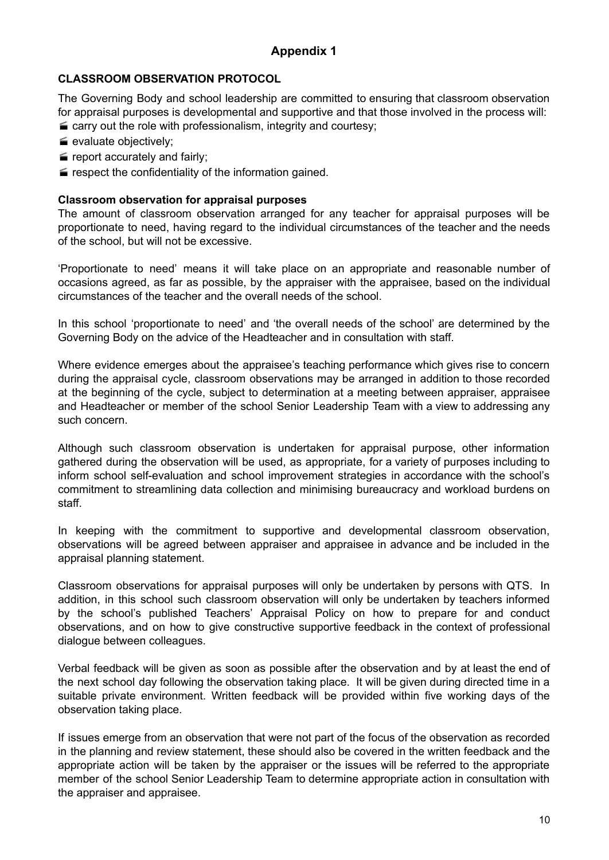### **CLASSROOM OBSERVATION PROTOCOL**

The Governing Body and school leadership are committed to ensuring that classroom observation for appraisal purposes is developmental and supportive and that those involved in the process will:

- $\equiv$  carry out the role with professionalism, integrity and courtesy;
- evaluate objectively;
- $\equiv$  report accurately and fairly;
- $\blacktriangleright$  respect the confidentiality of the information gained.

#### **Classroom observation for appraisal purposes**

The amount of classroom observation arranged for any teacher for appraisal purposes will be proportionate to need, having regard to the individual circumstances of the teacher and the needs of the school, but will not be excessive.

'Proportionate to need' means it will take place on an appropriate and reasonable number of occasions agreed, as far as possible, by the appraiser with the appraisee, based on the individual circumstances of the teacher and the overall needs of the school.

In this school 'proportionate to need' and 'the overall needs of the school' are determined by the Governing Body on the advice of the Headteacher and in consultation with staff.

Where evidence emerges about the appraisee's teaching performance which gives rise to concern during the appraisal cycle, classroom observations may be arranged in addition to those recorded at the beginning of the cycle, subject to determination at a meeting between appraiser, appraisee and Headteacher or member of the school Senior Leadership Team with a view to addressing any such concern.

Although such classroom observation is undertaken for appraisal purpose, other information gathered during the observation will be used, as appropriate, for a variety of purposes including to inform school self-evaluation and school improvement strategies in accordance with the school's commitment to streamlining data collection and minimising bureaucracy and workload burdens on staff.

In keeping with the commitment to supportive and developmental classroom observation, observations will be agreed between appraiser and appraisee in advance and be included in the appraisal planning statement.

Classroom observations for appraisal purposes will only be undertaken by persons with QTS. In addition, in this school such classroom observation will only be undertaken by teachers informed by the school's published Teachers' Appraisal Policy on how to prepare for and conduct observations, and on how to give constructive supportive feedback in the context of professional dialogue between colleagues.

Verbal feedback will be given as soon as possible after the observation and by at least the end of the next school day following the observation taking place. It will be given during directed time in a suitable private environment. Written feedback will be provided within five working days of the observation taking place.

If issues emerge from an observation that were not part of the focus of the observation as recorded in the planning and review statement, these should also be covered in the written feedback and the appropriate action will be taken by the appraiser or the issues will be referred to the appropriate member of the school Senior Leadership Team to determine appropriate action in consultation with the appraiser and appraisee.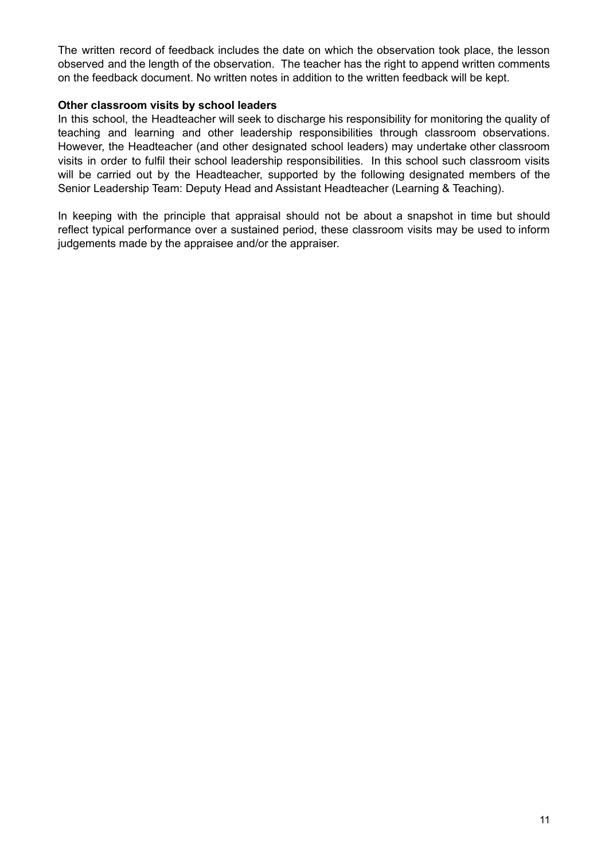The written record of feedback includes the date on which the observation took place, the lesson observed and the length of the observation. The teacher has the right to append written comments on the feedback document. No written notes in addition to the written feedback will be kept.

#### **Other classroom visits by school leaders**

In this school, the Headteacher will seek to discharge his responsibility for monitoring the quality of teaching and learning and other leadership responsibilities through classroom observations. However, the Headteacher (and other designated school leaders) may undertake other classroom visits in order to fulfil their school leadership responsibilities. In this school such classroom visits will be carried out by the Headteacher, supported by the following designated members of the Senior Leadership Team: Deputy Head and Assistant Headteacher (Learning & Teaching).

In keeping with the principle that appraisal should not be about a snapshot in time but should reflect typical performance over a sustained period, these classroom visits may be used to inform judgements made by the appraisee and/or the appraiser.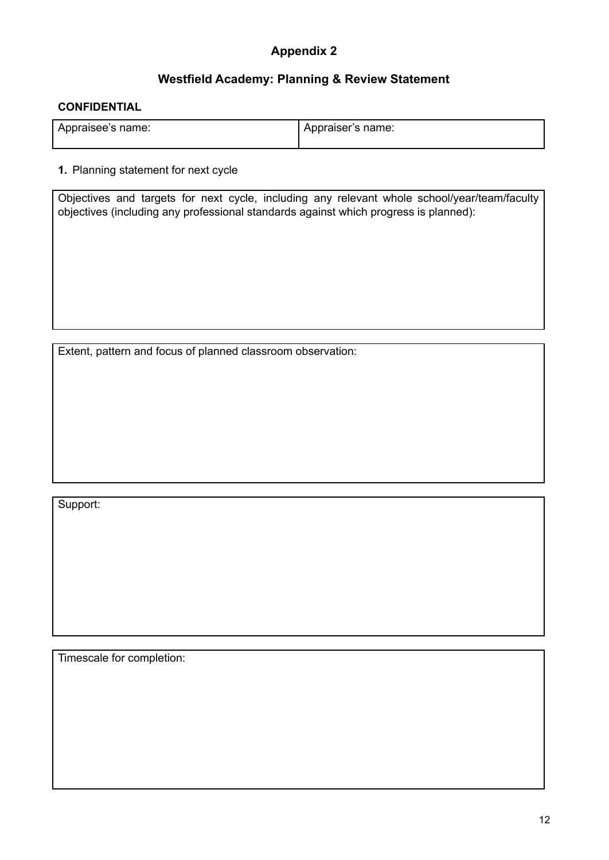# **Westfield Academy: Planning & Review Statement**

#### **CONFIDENTIAL**

| Appraisee's name: | ' Appraiser's name: |
|-------------------|---------------------|
|                   |                     |

#### **1.** Planning statement for next cycle

Objectives and targets for next cycle, including any relevant whole school/year/team/faculty objectives (including any professional standards against which progress is planned):

Extent, pattern and focus of planned classroom observation:

Support:

Timescale for completion: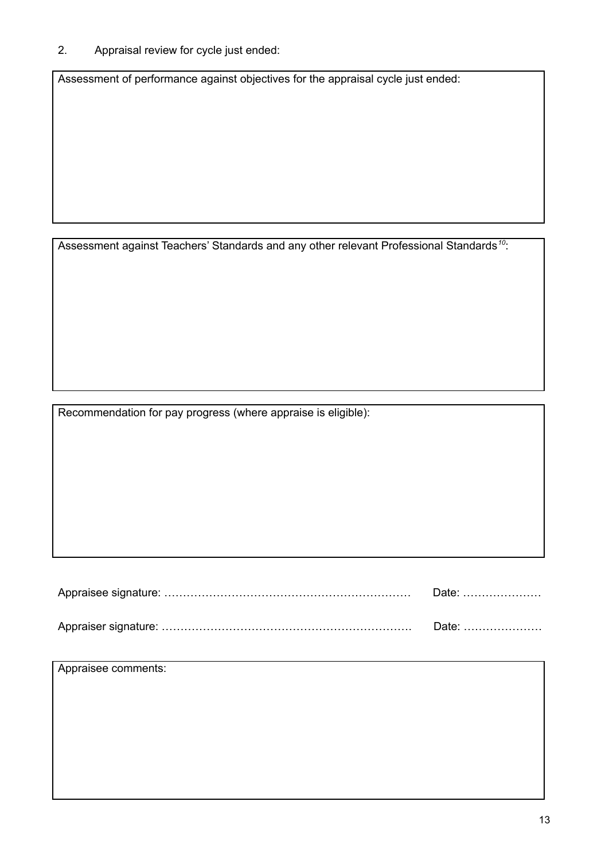# 2. Appraisal review for cycle just ended:

Assessment of performance against objectives for the appraisal cycle just ended:

Assessment against Teachers' Standards and any other relevant Professional Standards<sup>10</sup>:

Recommendation for pay progress (where appraise is eligible):

| Date: |  |  |  |
|-------|--|--|--|
| Date: |  |  |  |

Appraisee comments: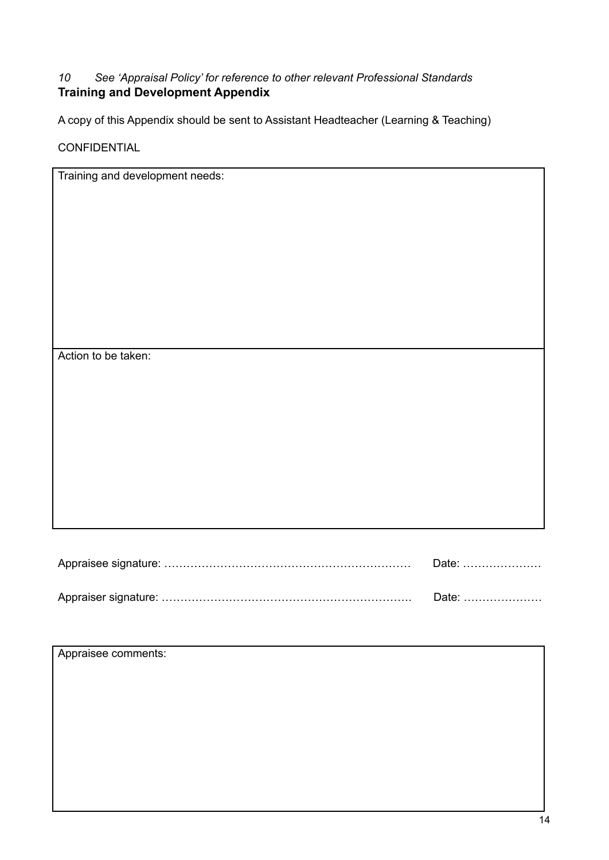# *10 See 'Appraisal Policy' for reference to other relevant Professional Standards* **Training and Development Appendix**

A copy of this Appendix should be sent to Assistant Headteacher (Learning & Teaching)

CONFIDENTIAL

| Training and development needs: |       |
|---------------------------------|-------|
|                                 |       |
|                                 |       |
|                                 |       |
|                                 |       |
|                                 |       |
|                                 |       |
|                                 |       |
|                                 |       |
|                                 |       |
|                                 |       |
|                                 |       |
|                                 |       |
|                                 |       |
|                                 |       |
| Action to be taken:             |       |
|                                 |       |
|                                 |       |
|                                 |       |
|                                 |       |
|                                 |       |
|                                 |       |
|                                 |       |
|                                 |       |
|                                 |       |
|                                 |       |
|                                 |       |
|                                 |       |
|                                 |       |
|                                 |       |
|                                 |       |
|                                 |       |
|                                 |       |
|                                 | Date: |
|                                 |       |
|                                 |       |
|                                 | Date: |

| Appraisee comments: |  |
|---------------------|--|
|                     |  |
|                     |  |
|                     |  |
|                     |  |
|                     |  |
|                     |  |
|                     |  |
|                     |  |
|                     |  |
|                     |  |
|                     |  |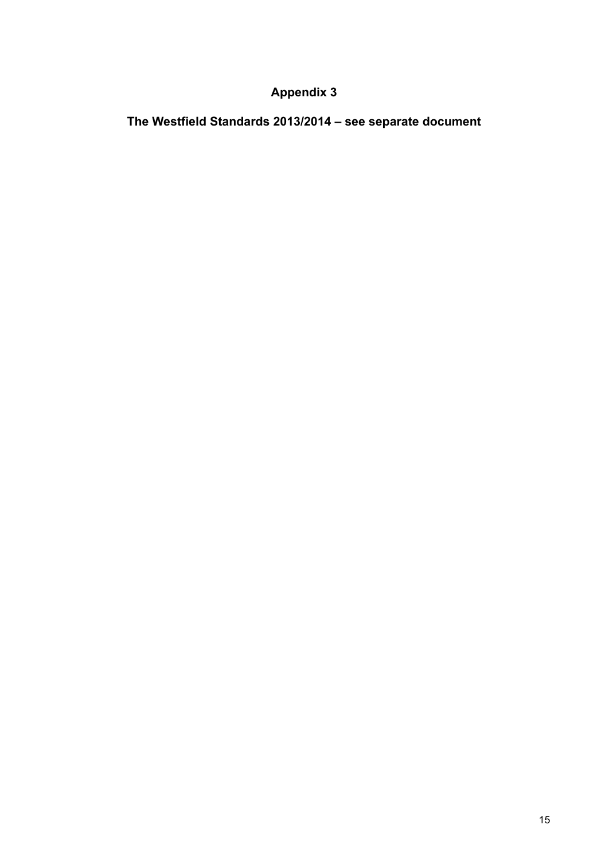**The Westfield Standards 2013/2014 – see separate document**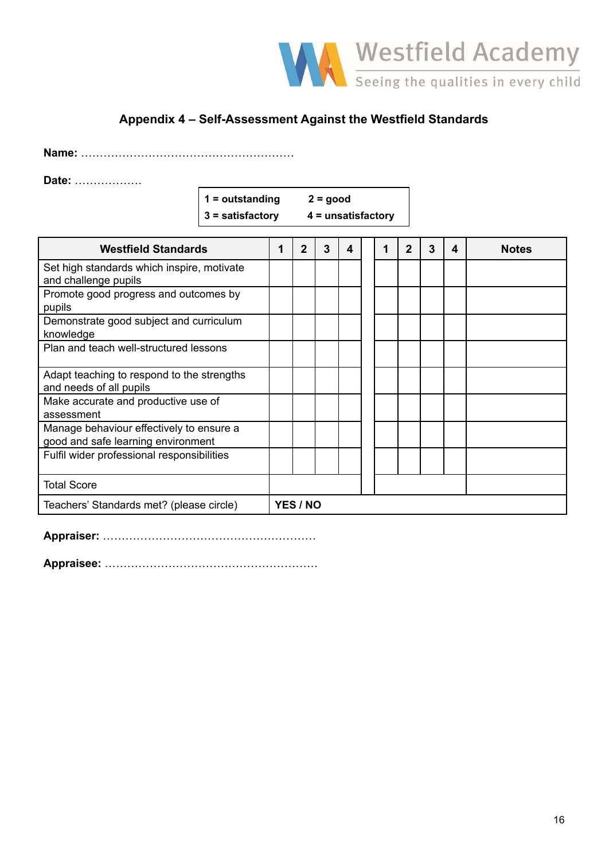

# **Appendix 4 – Self-Assessment Against the Westfield Standards**

**Name:** …………………………………………………

**Date:** ………………

| $1 =$ outstanding | $2 = good$           |
|-------------------|----------------------|
| 3 = satisfactory  | $4 =$ unsatisfactory |

| <b>Westfield Standards</b>                                                     | 1               | $\overline{2}$ | 3 | 4 |  |  | $\mathbf{2}$ | 3 | 4 | <b>Notes</b> |
|--------------------------------------------------------------------------------|-----------------|----------------|---|---|--|--|--------------|---|---|--------------|
| Set high standards which inspire, motivate<br>and challenge pupils             |                 |                |   |   |  |  |              |   |   |              |
| Promote good progress and outcomes by<br>pupils                                |                 |                |   |   |  |  |              |   |   |              |
| Demonstrate good subject and curriculum<br>knowledge                           |                 |                |   |   |  |  |              |   |   |              |
| Plan and teach well-structured lessons                                         |                 |                |   |   |  |  |              |   |   |              |
| Adapt teaching to respond to the strengths<br>and needs of all pupils          |                 |                |   |   |  |  |              |   |   |              |
| Make accurate and productive use of<br>assessment                              |                 |                |   |   |  |  |              |   |   |              |
| Manage behaviour effectively to ensure a<br>good and safe learning environment |                 |                |   |   |  |  |              |   |   |              |
| Fulfil wider professional responsibilities                                     |                 |                |   |   |  |  |              |   |   |              |
| <b>Total Score</b>                                                             |                 |                |   |   |  |  |              |   |   |              |
| Teachers' Standards met? (please circle)                                       | <b>YES / NO</b> |                |   |   |  |  |              |   |   |              |

**Appraiser:** …………………………………………………

**Appraisee:** …………………………………………………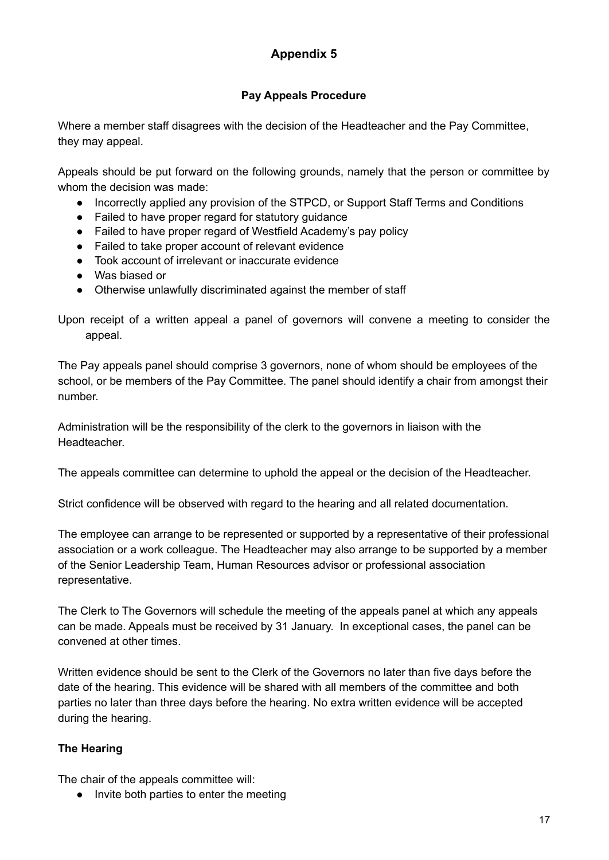# **Pay Appeals Procedure**

Where a member staff disagrees with the decision of the Headteacher and the Pay Committee, they may appeal.

Appeals should be put forward on the following grounds, namely that the person or committee by whom the decision was made:

- Incorrectly applied any provision of the STPCD, or Support Staff Terms and Conditions
- Failed to have proper regard for statutory guidance
- Failed to have proper regard of Westfield Academy's pay policy
- Failed to take proper account of relevant evidence
- Took account of irrelevant or inaccurate evidence
- Was biased or
- Otherwise unlawfully discriminated against the member of staff

Upon receipt of a written appeal a panel of governors will convene a meeting to consider the appeal.

The Pay appeals panel should comprise 3 governors, none of whom should be employees of the school, or be members of the Pay Committee. The panel should identify a chair from amongst their number.

Administration will be the responsibility of the clerk to the governors in liaison with the Headteacher.

The appeals committee can determine to uphold the appeal or the decision of the Headteacher.

Strict confidence will be observed with regard to the hearing and all related documentation.

The employee can arrange to be represented or supported by a representative of their professional association or a work colleague. The Headteacher may also arrange to be supported by a member of the Senior Leadership Team, Human Resources advisor or professional association representative.

The Clerk to The Governors will schedule the meeting of the appeals panel at which any appeals can be made. Appeals must be received by 31 January. In exceptional cases, the panel can be convened at other times.

Written evidence should be sent to the Clerk of the Governors no later than five days before the date of the hearing. This evidence will be shared with all members of the committee and both parties no later than three days before the hearing. No extra written evidence will be accepted during the hearing.

# **The Hearing**

The chair of the appeals committee will:

● Invite both parties to enter the meeting